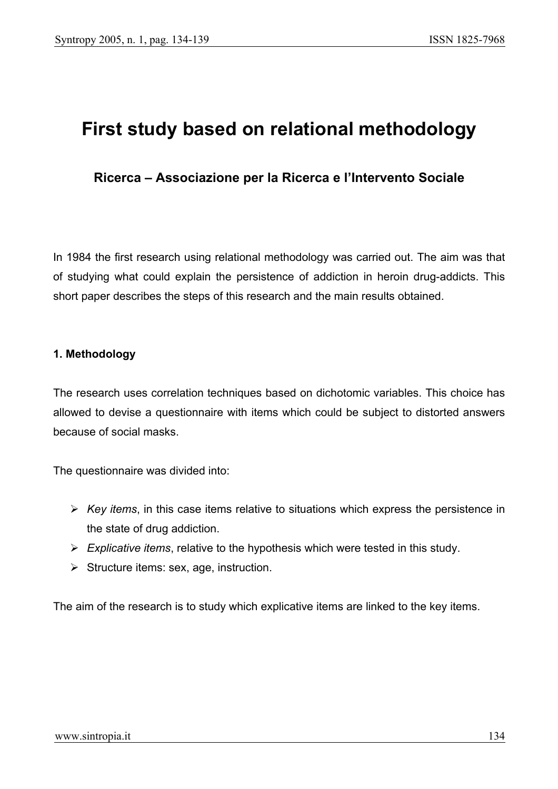# **First study based on relational methodology**

# **Ricerca – Associazione per la Ricerca e l'Intervento Sociale**

In 1984 the first research using relational methodology was carried out. The aim was that of studying what could explain the persistence of addiction in heroin drug-addicts. This short paper describes the steps of this research and the main results obtained.

#### **1. Methodology**

The research uses correlation techniques based on dichotomic variables. This choice has allowed to devise a questionnaire with items which could be subject to distorted answers because of social masks.

The questionnaire was divided into:

- ¾ *Key items*, in this case items relative to situations which express the persistence in the state of drug addiction.
- ¾ *Explicative items*, relative to the hypothesis which were tested in this study.
- $\triangleright$  Structure items: sex, age, instruction.

The aim of the research is to study which explicative items are linked to the key items.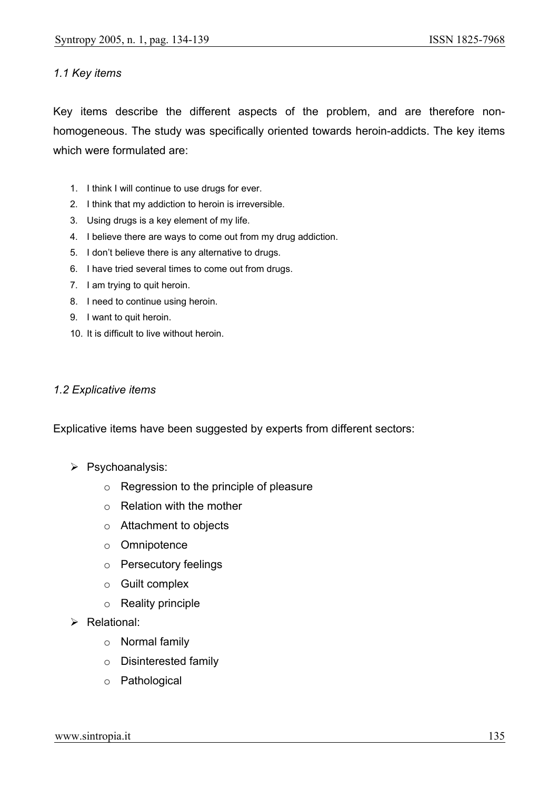#### *1.1 Key items*

Key items describe the different aspects of the problem, and are therefore nonhomogeneous. The study was specifically oriented towards heroin-addicts. The key items which were formulated are:

- 1. I think I will continue to use drugs for ever.
- 2. I think that my addiction to heroin is irreversible.
- 3. Using drugs is a key element of my life.
- 4. I believe there are ways to come out from my drug addiction.
- 5. I don't believe there is any alternative to drugs.
- 6. I have tried several times to come out from drugs.
- 7. I am trying to quit heroin.
- 8. I need to continue using heroin.
- 9. I want to quit heroin.
- 10. It is difficult to live without heroin.

#### *1.2 Explicative items*

Explicative items have been suggested by experts from different sectors:

- ¾ Psychoanalysis:
	- o Regression to the principle of pleasure
	- o Relation with the mother
	- o Attachment to objects
	- o Omnipotence
	- o Persecutory feelings
	- o Guilt complex
	- o Reality principle
- $\triangleright$  Relational:
	- o Normal family
	- o Disinterested family
	- o Pathological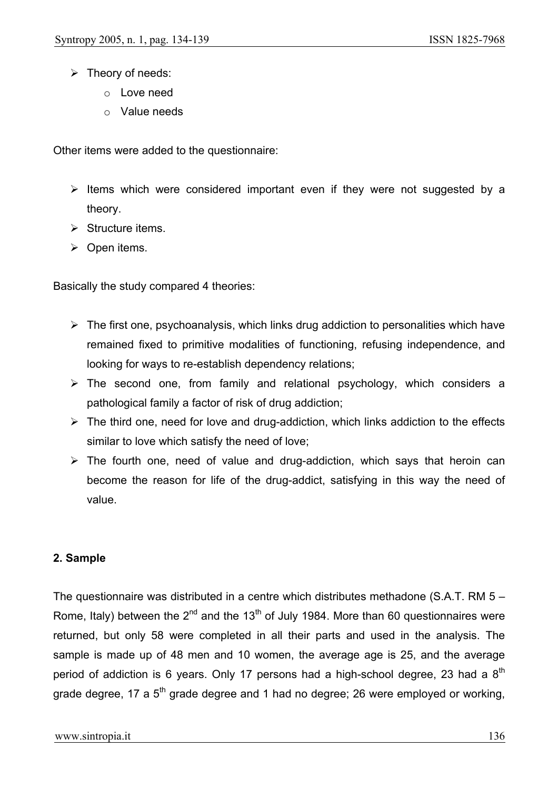- $\triangleright$  Theory of needs:
	- o Love need
	- o Value needs

Other items were added to the questionnaire:

- $\triangleright$  Items which were considered important even if they were not suggested by a theory.
- $\triangleright$  Structure items.
- $\triangleright$  Open items.

Basically the study compared 4 theories:

- $\triangleright$  The first one, psychoanalysis, which links drug addiction to personalities which have remained fixed to primitive modalities of functioning, refusing independence, and looking for ways to re-establish dependency relations;
- $\triangleright$  The second one, from family and relational psychology, which considers a pathological family a factor of risk of drug addiction;
- $\triangleright$  The third one, need for love and drug-addiction, which links addiction to the effects similar to love which satisfy the need of love;
- $\triangleright$  The fourth one, need of value and drug-addiction, which says that heroin can become the reason for life of the drug-addict, satisfying in this way the need of value.

## **2. Sample**

The questionnaire was distributed in a centre which distributes methadone (S.A.T. RM 5 – Rome, Italy) between the  $2^{nd}$  and the 13<sup>th</sup> of July 1984. More than 60 questionnaires were returned, but only 58 were completed in all their parts and used in the analysis. The sample is made up of 48 men and 10 women, the average age is 25, and the average period of addiction is 6 years. Only 17 persons had a high-school degree, 23 had a  $8<sup>th</sup>$ grade degree, 17 a  $5<sup>th</sup>$  grade degree and 1 had no degree; 26 were employed or working,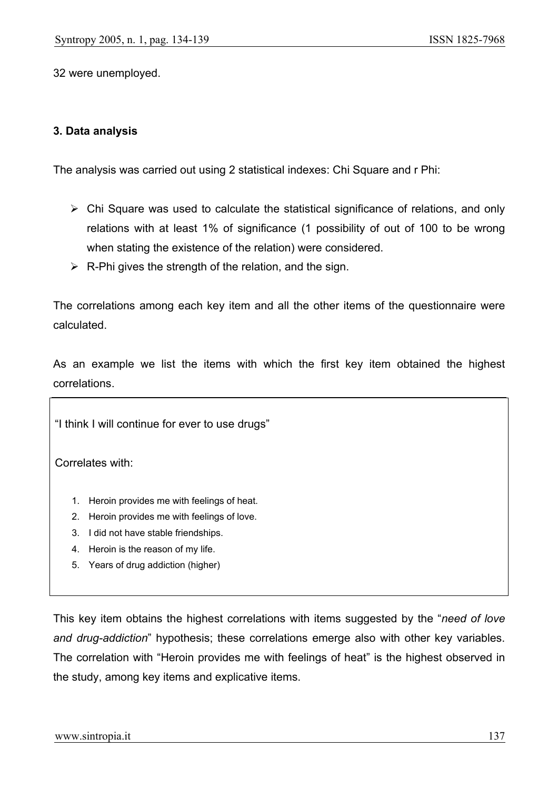32 were unemployed.

#### **3. Data analysis**

The analysis was carried out using 2 statistical indexes: Chi Square and r Phi:

- $\triangleright$  Chi Square was used to calculate the statistical significance of relations, and only relations with at least 1% of significance (1 possibility of out of 100 to be wrong when stating the existence of the relation) were considered.
- $\triangleright$  R-Phi gives the strength of the relation, and the sign.

The correlations among each key item and all the other items of the questionnaire were calculated.

As an example we list the items with which the first key item obtained the highest correlations.

"I think I will continue for ever to use drugs"

Correlates with:

- 1. Heroin provides me with feelings of heat.
- 2. Heroin provides me with feelings of love.
- 3. I did not have stable friendships.
- 4. Heroin is the reason of my life.
- 5. Years of drug addiction (higher)

This key item obtains the highest correlations with items suggested by the "*need of love and drug-addiction*" hypothesis; these correlations emerge also with other key variables. The correlation with "Heroin provides me with feelings of heat" is the highest observed in the study, among key items and explicative items.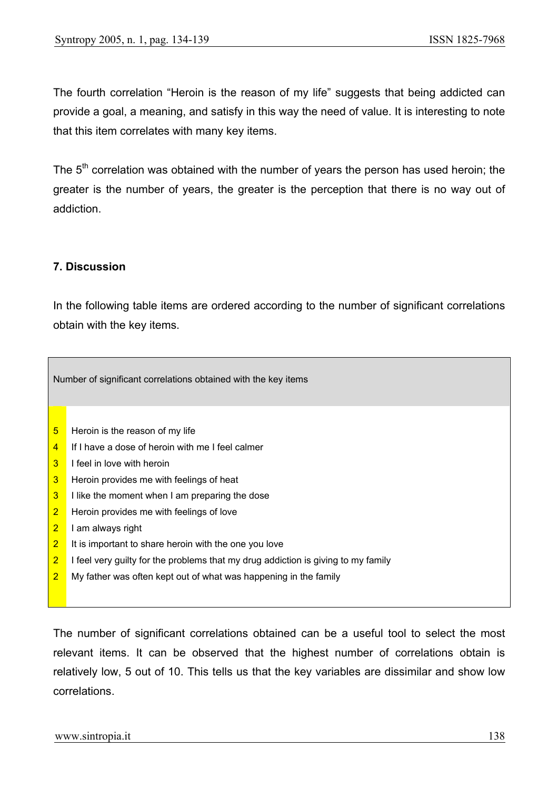The fourth correlation "Heroin is the reason of my life" suggests that being addicted can provide a goal, a meaning, and satisfy in this way the need of value. It is interesting to note that this item correlates with many key items.

The 5<sup>th</sup> correlation was obtained with the number of years the person has used heroin; the greater is the number of years, the greater is the perception that there is no way out of addiction.

## **7. Discussion**

In the following table items are ordered according to the number of significant correlations obtain with the key items.

| Number of significant correlations obtained with the key items |                                                                                   |
|----------------------------------------------------------------|-----------------------------------------------------------------------------------|
|                                                                |                                                                                   |
| 5                                                              | Heroin is the reason of my life                                                   |
| 4                                                              | If I have a dose of heroin with me I feel calmer                                  |
| 3                                                              | I feel in love with heroin                                                        |
| 3                                                              | Heroin provides me with feelings of heat                                          |
| $\overline{3}$                                                 | I like the moment when I am preparing the dose                                    |
| $\overline{2}$                                                 | Heroin provides me with feelings of love                                          |
| $\overline{2}$                                                 | I am always right                                                                 |
| $\overline{2}$                                                 | It is important to share heroin with the one you love                             |
| $\overline{2}$                                                 | I feel very guilty for the problems that my drug addiction is giving to my family |
| $\overline{2}$                                                 | My father was often kept out of what was happening in the family                  |

The number of significant correlations obtained can be a useful tool to select the most relevant items. It can be observed that the highest number of correlations obtain is relatively low, 5 out of 10. This tells us that the key variables are dissimilar and show low correlations.